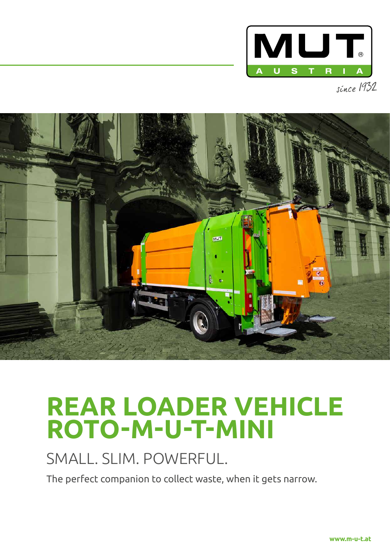



# **REAR LOADER VEHICLE ROTO-M-U-T-MINI**

# SMALL. SLIM. POWERFUL.

The perfect companion to collect waste, when it gets narrow.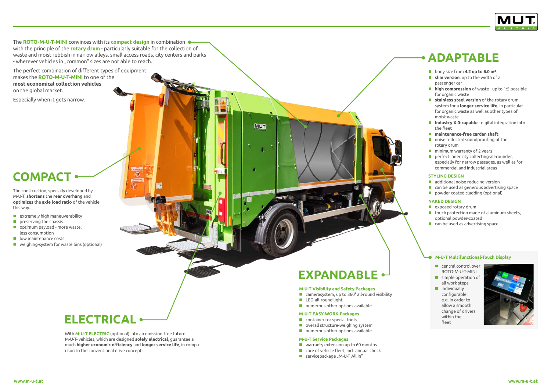The **ROTO-M-U-T-MINI** convinces with its **compact design** in combination with the principle of the **rotary drum** - particularly suitable for the collection of waste and moist rubbish in narrow alleys, small access roads, city centers and parks - wherever vehicles in "common" sizes are not able to reach.

The perfect combination of different types of equipment makes the **ROTO-M-U-T-MINI** to one of the **most economical collection vehicles** on the global market.

Especially when it gets narrow.

The construction, specially developed by M-U-T, **shortens** the **rear overhang** and **optimizes** the **axle load ratio** of the vehicle this way.

- $\blacksquare$  extremely high maneuverability
- $\blacksquare$  preserving the chassis
- optimum payload more waste, less consumption
- **lacks** low maintenance costs
- **E** weighing-system for waste bins (optional)

## **M-U-T Visibility and Safety Packages**

- camerasystem, up to 360° all-round visibility
- **LED-all-round light**

**MUT** 

**numerous other options available** 

#### **M-U-T EASY-WORK-Packages**

- **Container for special tools**
- **D** overall structure-weighing system
- numerous other options available
- body size from **4.2 up to 6.0 m**<sup>3</sup>
- **slim version**, up to the width of a passenger car
- **high compression** of waste up to 1:5 possible for organic waste
- **stainless steel version** of the rotary drum system for a **longer service life**, in particular for organic waste as well as other types of moist waste
- **Industry X.0-capable** digital integration into the fleet
- **maintenance-free cardan shaft**
- noise reducted soundproofing of the rotary drum
- **n** minimum warranty of 2 years
- **P** perfect inner city collecting-all-rounder, especially for narrow passages, as well as for commercial and industrial areas

#### **M-U-T Service Packages**

- warranty extension up to 60 months
- care of vehicle fleet, incl. annual check
- $\blacksquare$  servicepackage "M-U-T All In"
- **C** central control over ROTO-M-U-T-MINI
- simple operation of all work steps
- ndividually configurable: e.g. in order to allow a smooth change of drivers within the fleet



With **M-U-T ELECTRIC** (optional) into an emission-free future: M-U-T- vehicles, which are designed **solely electrical**, guarantee a much **higher economic efficiency** and **longer service life**, in comparison to the conventional drive concept.

 $\overline{a}$ 



### **STYLING DESIGN**

- additional noise reducing version
- **E** can be used as generous advertising space
- **P** powder coated cladding (optional)

### **NAKED DESIGN**

- **E** exposed rotary drum
- $\blacksquare$  touch protection made of aluminum sheets, optional powder-coated
- **E** can be used as advertising space

## **M-U-T Multifunctional-Touch Display**

# **EXPANDABLE**

# **ELECTRICAL**

# **COMPACT**

# **ADAPTABLE**